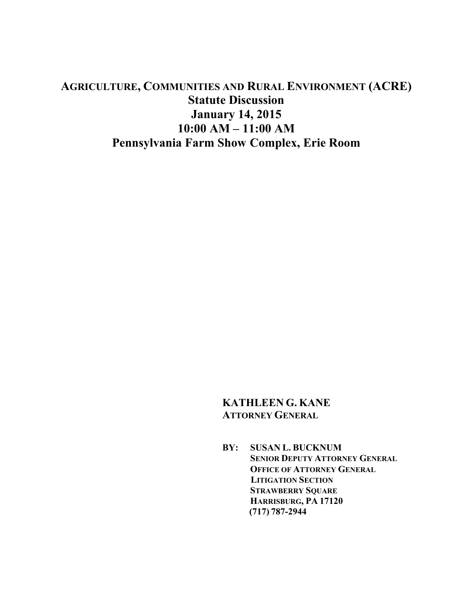# **AGRICULTURE, COMMUNITIES AND RURAL ENVIRONMENT (ACRE) Statute Discussion January 14, 2015 10:00 AM – 11:00 AM Pennsylvania Farm Show Complex, Erie Room**

# **KATHLEEN G. KANE ATTORNEY GENERAL**

**BY: SUSAN L. BUCKNUM SENIOR DEPUTY ATTORNEY GENERAL OFFICE OF ATTORNEY GENERAL LITIGATION SECTION STRAWBERRY SQUARE HARRISBURG, PA 17120 (717) 787-2944**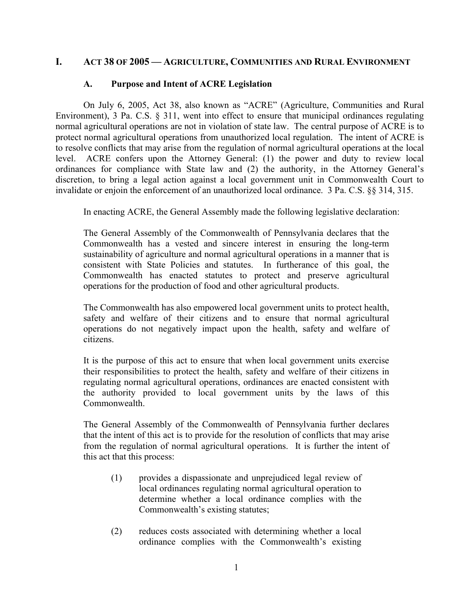## **I. ACT 38 OF 2005 — AGRICULTURE, COMMUNITIES AND RURAL ENVIRONMENT**

#### **A. Purpose and Intent of ACRE Legislation**

On July 6, 2005, Act 38, also known as "ACRE" (Agriculture, Communities and Rural Environment), 3 Pa. C.S. § 311, went into effect to ensure that municipal ordinances regulating normal agricultural operations are not in violation of state law. The central purpose of ACRE is to protect normal agricultural operations from unauthorized local regulation. The intent of ACRE is to resolve conflicts that may arise from the regulation of normal agricultural operations at the local level. ACRE confers upon the Attorney General: (1) the power and duty to review local ordinances for compliance with State law and (2) the authority, in the Attorney General's discretion, to bring a legal action against a local government unit in Commonwealth Court to invalidate or enjoin the enforcement of an unauthorized local ordinance. 3 Pa. C.S. §§ 314, 315.

In enacting ACRE, the General Assembly made the following legislative declaration:

The General Assembly of the Commonwealth of Pennsylvania declares that the Commonwealth has a vested and sincere interest in ensuring the long-term sustainability of agriculture and normal agricultural operations in a manner that is consistent with State Policies and statutes. In furtherance of this goal, the Commonwealth has enacted statutes to protect and preserve agricultural operations for the production of food and other agricultural products.

The Commonwealth has also empowered local government units to protect health, safety and welfare of their citizens and to ensure that normal agricultural operations do not negatively impact upon the health, safety and welfare of citizens.

It is the purpose of this act to ensure that when local government units exercise their responsibilities to protect the health, safety and welfare of their citizens in regulating normal agricultural operations, ordinances are enacted consistent with the authority provided to local government units by the laws of this Commonwealth.

The General Assembly of the Commonwealth of Pennsylvania further declares that the intent of this act is to provide for the resolution of conflicts that may arise from the regulation of normal agricultural operations. It is further the intent of this act that this process:

- (1) provides a dispassionate and unprejudiced legal review of local ordinances regulating normal agricultural operation to determine whether a local ordinance complies with the Commonwealth's existing statutes;
- (2) reduces costs associated with determining whether a local ordinance complies with the Commonwealth's existing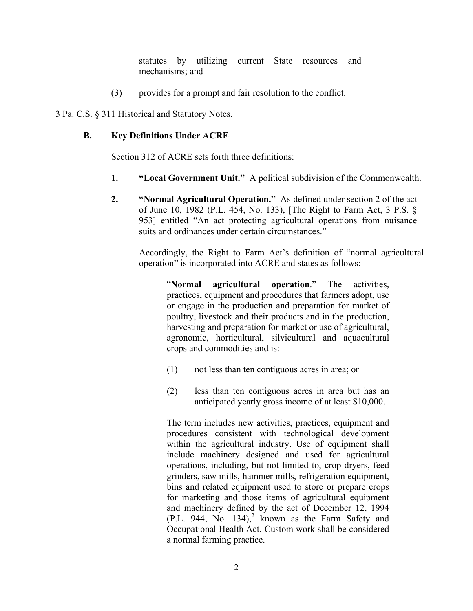statutes by utilizing current State resources and mechanisms; and

(3) provides for a prompt and fair resolution to the conflict.

3 Pa. C.S. § 311 Historical and Statutory Notes.

#### **B. Key Definitions Under ACRE**

Section 312 of ACRE sets forth three definitions:

- **1. "Local Government Unit."** A political subdivision of the Commonwealth.
- **2. "Normal Agricultural Operation."** As defined under section 2 of the act of June 10, 1982 (P.L. 454, No. 133), [The Right to Farm Act, 3 P.S. § 953] entitled "An act protecting agricultural operations from nuisance suits and ordinances under certain circumstances."

Accordingly, the Right to Farm Act's definition of "normal agricultural operation" is incorporated into ACRE and states as follows:

"**Normal agricultural operation**." The activities, practices, equipment and procedures that farmers adopt, use or engage in the production and preparation for market of poultry, livestock and their products and in the production, harvesting and preparation for market or use of agricultural, agronomic, horticultural, silvicultural and aquacultural crops and commodities and is:

- (1) not less than ten contiguous acres in area; or
- (2) less than ten contiguous acres in area but has an anticipated yearly gross income of at least \$10,000.

The term includes new activities, practices, equipment and procedures consistent with technological development within the agricultural industry. Use of equipment shall include machinery designed and used for agricultural operations, including, but not limited to, crop dryers, feed grinders, saw mills, hammer mills, refrigeration equipment, bins and related equipment used to store or prepare crops for marketing and those items of agricultural equipment and machinery defined by the act of December 12, 1994  $(P.L. 944, No. 134)<sup>2</sup>$  known as the Farm Safety and Occupational Health Act. Custom work shall be considered a normal farming practice.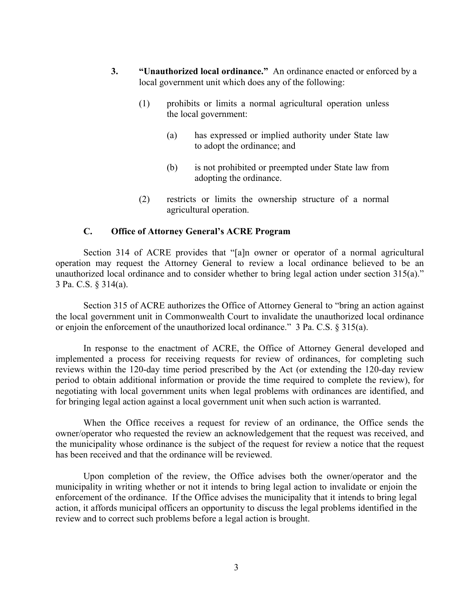- **3. "Unauthorized local ordinance."** An ordinance enacted or enforced by a local government unit which does any of the following:
	- (1) prohibits or limits a normal agricultural operation unless the local government:
		- (a) has expressed or implied authority under State law to adopt the ordinance; and
		- (b) is not prohibited or preempted under State law from adopting the ordinance.
	- (2) restricts or limits the ownership structure of a normal agricultural operation.

#### **C. Office of Attorney General's ACRE Program**

Section 314 of ACRE provides that "[a]n owner or operator of a normal agricultural operation may request the Attorney General to review a local ordinance believed to be an unauthorized local ordinance and to consider whether to bring legal action under section 315(a)." 3 Pa. C.S. § 314(a).

Section 315 of ACRE authorizes the Office of Attorney General to "bring an action against the local government unit in Commonwealth Court to invalidate the unauthorized local ordinance or enjoin the enforcement of the unauthorized local ordinance." 3 Pa. C.S. § 315(a).

In response to the enactment of ACRE, the Office of Attorney General developed and implemented a process for receiving requests for review of ordinances, for completing such reviews within the 120-day time period prescribed by the Act (or extending the 120-day review period to obtain additional information or provide the time required to complete the review), for negotiating with local government units when legal problems with ordinances are identified, and for bringing legal action against a local government unit when such action is warranted.

When the Office receives a request for review of an ordinance, the Office sends the owner/operator who requested the review an acknowledgement that the request was received, and the municipality whose ordinance is the subject of the request for review a notice that the request has been received and that the ordinance will be reviewed.

Upon completion of the review, the Office advises both the owner/operator and the municipality in writing whether or not it intends to bring legal action to invalidate or enjoin the enforcement of the ordinance. If the Office advises the municipality that it intends to bring legal action, it affords municipal officers an opportunity to discuss the legal problems identified in the review and to correct such problems before a legal action is brought.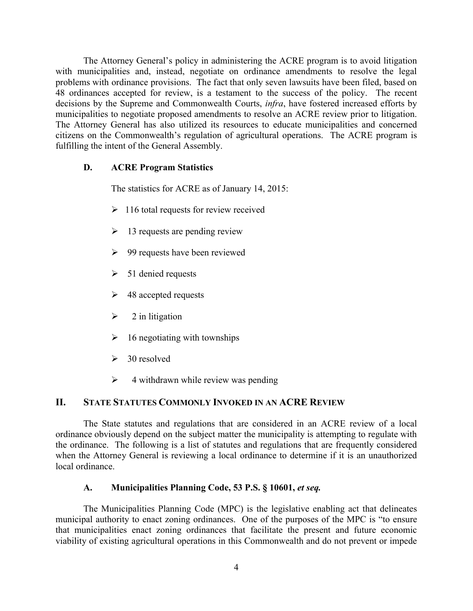The Attorney General's policy in administering the ACRE program is to avoid litigation with municipalities and, instead, negotiate on ordinance amendments to resolve the legal problems with ordinance provisions. The fact that only seven lawsuits have been filed, based on 48 ordinances accepted for review, is a testament to the success of the policy. The recent decisions by the Supreme and Commonwealth Courts, *infra*, have fostered increased efforts by municipalities to negotiate proposed amendments to resolve an ACRE review prior to litigation. The Attorney General has also utilized its resources to educate municipalities and concerned citizens on the Commonwealth's regulation of agricultural operations. The ACRE program is fulfilling the intent of the General Assembly.

#### **D. ACRE Program Statistics**

The statistics for ACRE as of January 14, 2015:

- $\geq 116$  total requests for review received
- $\geq 13$  requests are pending review
- $\geq$  99 requests have been reviewed
- $\geq$  51 denied requests
- $\geq$  48 accepted requests
- $\geq$  2 in litigation
- $\geq 16$  negotiating with townships
- $\geq$  30 resolved
- $\triangleright$  4 withdrawn while review was pending

# **II. STATE STATUTES COMMONLY INVOKED IN AN ACRE REVIEW**

The State statutes and regulations that are considered in an ACRE review of a local ordinance obviously depend on the subject matter the municipality is attempting to regulate with the ordinance. The following is a list of statutes and regulations that are frequently considered when the Attorney General is reviewing a local ordinance to determine if it is an unauthorized local ordinance.

## **A. Municipalities Planning Code, 53 P.S. § 10601,** *et seq.*

The Municipalities Planning Code (MPC) is the legislative enabling act that delineates municipal authority to enact zoning ordinances. One of the purposes of the MPC is "to ensure that municipalities enact zoning ordinances that facilitate the present and future economic viability of existing agricultural operations in this Commonwealth and do not prevent or impede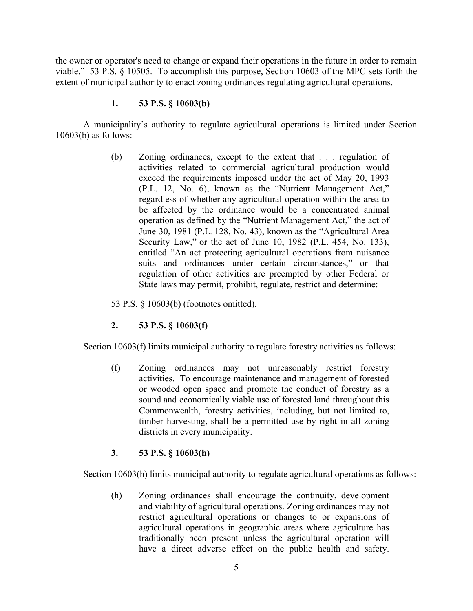the owner or operator's need to change or expand their operations in the future in order to remain viable." 53 P.S. § 10505. To accomplish this purpose, Section 10603 of the MPC sets forth the extent of municipal authority to enact zoning ordinances regulating agricultural operations.

## **1. 53 P.S. § 10603(b)**

A municipality's authority to regulate agricultural operations is limited under Section 10603(b) as follows:

> (b) Zoning ordinances, except to the extent that . . . regulation of activities related to commercial agricultural production would exceed the requirements imposed under the act of May 20, 1993 (P.L. 12, No. 6), known as the "Nutrient Management Act," regardless of whether any agricultural operation within the area to be affected by the ordinance would be a concentrated animal operation as defined by the "Nutrient Management Act," the act of June 30, 1981 (P.L. 128, No. 43), known as the "Agricultural Area Security Law," or the act of June 10, 1982 (P.L. 454, No. 133), entitled "An act protecting agricultural operations from nuisance suits and ordinances under certain circumstances," or that regulation of other activities are preempted by other Federal or State laws may permit, prohibit, regulate, restrict and determine:

53 P.S. § 10603(b) (footnotes omitted).

# **2. 53 P.S. § 10603(f)**

Section 10603(f) limits municipal authority to regulate forestry activities as follows:

(f) Zoning ordinances may not unreasonably restrict forestry activities. To encourage maintenance and management of forested or wooded open space and promote the conduct of forestry as a sound and economically viable use of forested land throughout this Commonwealth, forestry activities, including, but not limited to, timber harvesting, shall be a permitted use by right in all zoning districts in every municipality.

## **3. 53 P.S. § 10603(h)**

Section 10603(h) limits municipal authority to regulate agricultural operations as follows:

(h) Zoning ordinances shall encourage the continuity, development and viability of agricultural operations. Zoning ordinances may not restrict agricultural operations or changes to or expansions of agricultural operations in geographic areas where agriculture has traditionally been present unless the agricultural operation will have a direct adverse effect on the public health and safety.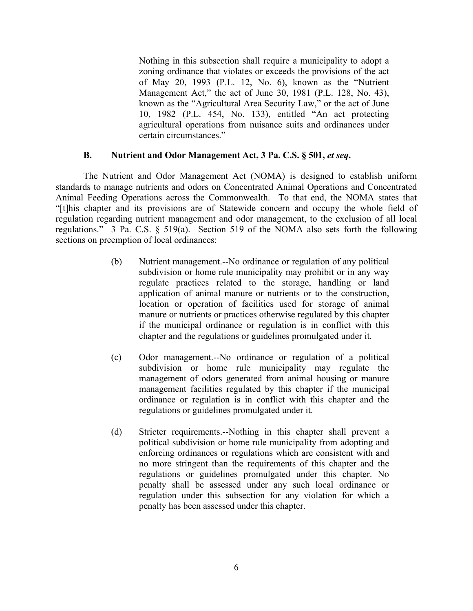Nothing in this subsection shall require a municipality to adopt a zoning ordinance that violates or exceeds the provisions of the act of May 20, 1993 (P.L. 12, No. 6), known as the "Nutrient Management Act," the act of June 30, 1981 (P.L. 128, No. 43), known as the "Agricultural Area Security Law," or the act of June 10, 1982 (P.L. 454, No. 133), entitled "An act protecting agricultural operations from nuisance suits and ordinances under certain circumstances."

#### **B. Nutrient and Odor Management Act, 3 Pa. C.S. § 501,** *et seq***.**

The Nutrient and Odor Management Act (NOMA) is designed to establish uniform standards to manage nutrients and odors on Concentrated Animal Operations and Concentrated Animal Feeding Operations across the Commonwealth. To that end, the NOMA states that "[t]his chapter and its provisions are of Statewide concern and occupy the whole field of regulation regarding nutrient management and odor management, to the exclusion of all local regulations." 3 Pa. C.S. § 519(a). Section 519 of the NOMA also sets forth the following sections on preemption of local ordinances:

- (b) Nutrient management.--No ordinance or regulation of any political subdivision or home rule municipality may prohibit or in any way regulate practices related to the storage, handling or land application of animal manure or nutrients or to the construction, location or operation of facilities used for storage of animal manure or nutrients or practices otherwise regulated by this chapter if the municipal ordinance or regulation is in conflict with this chapter and the regulations or guidelines promulgated under it.
- (c) Odor management.--No ordinance or regulation of a political subdivision or home rule municipality may regulate the management of odors generated from animal housing or manure management facilities regulated by this chapter if the municipal ordinance or regulation is in conflict with this chapter and the regulations or guidelines promulgated under it.
- (d) Stricter requirements.--Nothing in this chapter shall prevent a political subdivision or home rule municipality from adopting and enforcing ordinances or regulations which are consistent with and no more stringent than the requirements of this chapter and the regulations or guidelines promulgated under this chapter. No penalty shall be assessed under any such local ordinance or regulation under this subsection for any violation for which a penalty has been assessed under this chapter.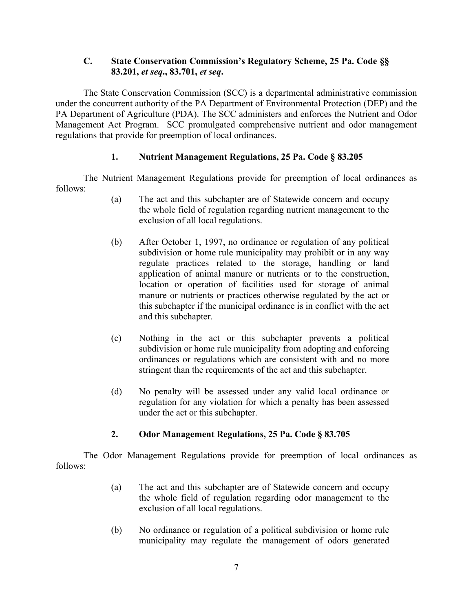## **C. State Conservation Commission's Regulatory Scheme, 25 Pa. Code §§ 83.201,** *et seq***., 83.701,** *et seq***.**

The State Conservation Commission (SCC) is a departmental administrative commission under the concurrent authority of the PA Department of Environmental Protection (DEP) and the PA Department of Agriculture (PDA). The SCC administers and enforces the Nutrient and Odor Management Act Program. SCC promulgated comprehensive nutrient and odor management regulations that provide for preemption of local ordinances.

## **1. Nutrient Management Regulations, 25 Pa. Code § 83.205**

The Nutrient Management Regulations provide for preemption of local ordinances as follows:

- (a) The act and this subchapter are of Statewide concern and occupy the whole field of regulation regarding nutrient management to the exclusion of all local regulations.
- (b) After October 1, 1997, no ordinance or regulation of any political subdivision or home rule municipality may prohibit or in any way regulate practices related to the storage, handling or land application of animal manure or nutrients or to the construction, location or operation of facilities used for storage of animal manure or nutrients or practices otherwise regulated by the act or this subchapter if the municipal ordinance is in conflict with the act and this subchapter.
- (c) Nothing in the act or this subchapter prevents a political subdivision or home rule municipality from adopting and enforcing ordinances or regulations which are consistent with and no more stringent than the requirements of the act and this subchapter.
- (d) No penalty will be assessed under any valid local ordinance or regulation for any violation for which a penalty has been assessed under the act or this subchapter.

## **2. Odor Management Regulations, 25 Pa. Code § 83.705**

The Odor Management Regulations provide for preemption of local ordinances as follows:

- (a) The act and this subchapter are of Statewide concern and occupy the whole field of regulation regarding odor management to the exclusion of all local regulations.
- (b) No ordinance or regulation of a political subdivision or home rule municipality may regulate the management of odors generated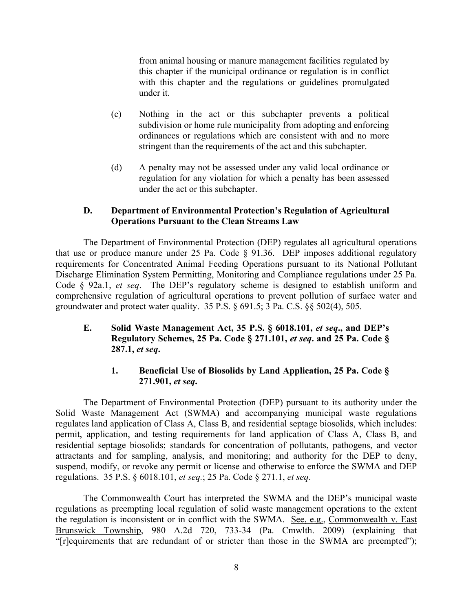from animal housing or manure management facilities regulated by this chapter if the municipal ordinance or regulation is in conflict with this chapter and the regulations or guidelines promulgated under it.

- (c) Nothing in the act or this subchapter prevents a political subdivision or home rule municipality from adopting and enforcing ordinances or regulations which are consistent with and no more stringent than the requirements of the act and this subchapter.
- (d) A penalty may not be assessed under any valid local ordinance or regulation for any violation for which a penalty has been assessed under the act or this subchapter.

#### **D. Department of Environmental Protection's Regulation of Agricultural Operations Pursuant to the Clean Streams Law**

The Department of Environmental Protection (DEP) regulates all agricultural operations that use or produce manure under 25 Pa. Code § 91.36. DEP imposes additional regulatory requirements for Concentrated Animal Feeding Operations pursuant to its National Pollutant Discharge Elimination System Permitting, Monitoring and Compliance regulations under 25 Pa. Code § 92a.1, *et seq*. The DEP's regulatory scheme is designed to establish uniform and comprehensive regulation of agricultural operations to prevent pollution of surface water and groundwater and protect water quality. 35 P.S. § 691.5; 3 Pa. C.S. §§ 502(4), 505.

## **E. Solid Waste Management Act, 35 P.S. § 6018.101,** *et seq***., and DEP's Regulatory Schemes, 25 Pa. Code § 271.101,** *et seq***. and 25 Pa. Code § 287.1,** *et seq***.**

## **1. Beneficial Use of Biosolids by Land Application, 25 Pa. Code § 271.901,** *et seq***.**

The Department of Environmental Protection (DEP) pursuant to its authority under the Solid Waste Management Act (SWMA) and accompanying municipal waste regulations regulates land application of Class A, Class B, and residential septage biosolids, which includes: permit, application, and testing requirements for land application of Class A, Class B, and residential septage biosolids; standards for concentration of pollutants, pathogens, and vector attractants and for sampling, analysis, and monitoring; and authority for the DEP to deny, suspend, modify, or revoke any permit or license and otherwise to enforce the SWMA and DEP regulations. 35 P.S. § 6018.101, *et seq.*; 25 Pa. Code § 271.1, *et seq*.

The Commonwealth Court has interpreted the SWMA and the DEP's municipal waste regulations as preempting local regulation of solid waste management operations to the extent the regulation is inconsistent or in conflict with the SWMA. See, e.g., Commonwealth v. East Brunswick Township, 980 A.2d 720, 733-34 (Pa. Cmwlth. 2009) (explaining that "[r]equirements that are redundant of or stricter than those in the SWMA are preempted");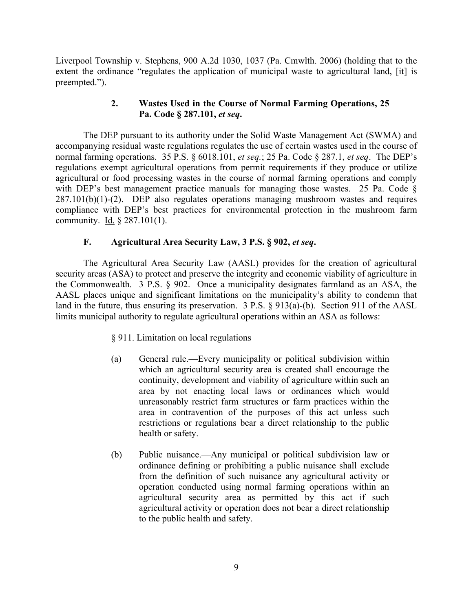Liverpool Township v. Stephens, 900 A.2d 1030, 1037 (Pa. Cmwlth. 2006) (holding that to the extent the ordinance "regulates the application of municipal waste to agricultural land, [it] is preempted.").

## **2. Wastes Used in the Course of Normal Farming Operations, 25 Pa. Code § 287.101,** *et seq***.**

The DEP pursuant to its authority under the Solid Waste Management Act (SWMA) and accompanying residual waste regulations regulates the use of certain wastes used in the course of normal farming operations. 35 P.S. § 6018.101, *et seq.*; 25 Pa. Code § 287.1, *et seq*. The DEP's regulations exempt agricultural operations from permit requirements if they produce or utilize agricultural or food processing wastes in the course of normal farming operations and comply with DEP's best management practice manuals for managing those wastes. 25 Pa. Code § 287.101(b)(1)-(2). DEP also regulates operations managing mushroom wastes and requires compliance with DEP's best practices for environmental protection in the mushroom farm community. Id. § 287.101(1).

## **F. Agricultural Area Security Law, 3 P.S. § 902,** *et seq***.**

The Agricultural Area Security Law (AASL) provides for the creation of agricultural security areas (ASA) to protect and preserve the integrity and economic viability of agriculture in the Commonwealth. 3 P.S. § 902. Once a municipality designates farmland as an ASA, the AASL places unique and significant limitations on the municipality's ability to condemn that land in the future, thus ensuring its preservation. 3 P.S. § 913(a)-(b). Section 911 of the AASL limits municipal authority to regulate agricultural operations within an ASA as follows:

## § 911. Limitation on local regulations

- (a) General rule.—Every municipality or political subdivision within which an agricultural security area is created shall encourage the continuity, development and viability of agriculture within such an area by not enacting local laws or ordinances which would unreasonably restrict farm structures or farm practices within the area in contravention of the purposes of this act unless such restrictions or regulations bear a direct relationship to the public health or safety.
- (b) Public nuisance.—Any municipal or political subdivision law or ordinance defining or prohibiting a public nuisance shall exclude from the definition of such nuisance any agricultural activity or operation conducted using normal farming operations within an agricultural security area as permitted by this act if such agricultural activity or operation does not bear a direct relationship to the public health and safety.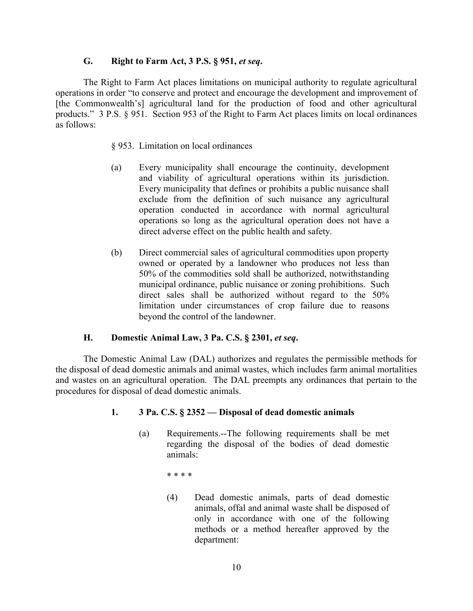#### **G. Right to Farm Act, 3 P.S. § 951,** *et seq***.**

The Right to Farm Act places limitations on municipal authority to regulate agricultural operations in order "to conserve and protect and encourage the development and improvement of [the Commonwealth's] agricultural land for the production of food and other agricultural products." 3 P.S. § 951. Section 953 of the Right to Farm Act places limits on local ordinances as follows:

#### § 953. Limitation on local ordinances

- (a) Every municipality shall encourage the continuity, development and viability of agricultural operations within its jurisdiction. Every municipality that defines or prohibits a public nuisance shall exclude from the definition of such nuisance any agricultural operation conducted in accordance with normal agricultural operations so long as the agricultural operation does not have a direct adverse effect on the public health and safety.
- (b) Direct commercial sales of agricultural commodities upon property owned or operated by a landowner who produces not less than 50% of the commodities sold shall be authorized, notwithstanding municipal ordinance, public nuisance or zoning prohibitions. Such direct sales shall be authorized without regard to the 50% limitation under circumstances of crop failure due to reasons beyond the control of the landowner.

#### **H. Domestic Animal Law, 3 Pa. C.S. § 2301,** *et seq***.**

The Domestic Animal Law (DAL) authorizes and regulates the permissible methods for the disposal of dead domestic animals and animal wastes, which includes farm animal mortalities and wastes on an agricultural operation. The DAL preempts any ordinances that pertain to the procedures for disposal of dead domestic animals.

#### **1. 3 Pa. C.S. § 2352 — Disposal of dead domestic animals**

- (a) Requirements.--The following requirements shall be met regarding the disposal of the bodies of dead domestic animals:
	- \* \* \* \*
	- (4) Dead domestic animals, parts of dead domestic animals, offal and animal waste shall be disposed of only in accordance with one of the following methods or a method hereafter approved by the department: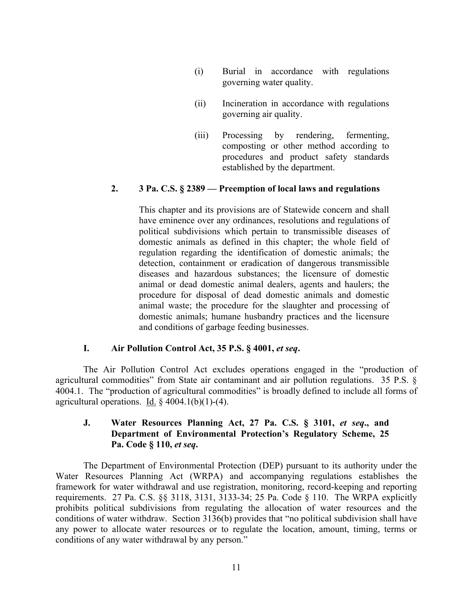- (i) Burial in accordance with regulations governing water quality.
- (ii) Incineration in accordance with regulations governing air quality.
- (iii) Processing by rendering, fermenting, composting or other method according to procedures and product safety standards established by the department.

#### **2. 3 Pa. C.S. § 2389 — Preemption of local laws and regulations**

This chapter and its provisions are of Statewide concern and shall have eminence over any ordinances, resolutions and regulations of political subdivisions which pertain to transmissible diseases of domestic animals as defined in this chapter; the whole field of regulation regarding the identification of domestic animals; the detection, containment or eradication of dangerous transmissible diseases and hazardous substances; the licensure of domestic animal or dead domestic animal dealers, agents and haulers; the procedure for disposal of dead domestic animals and domestic animal waste; the procedure for the slaughter and processing of domestic animals; humane husbandry practices and the licensure and conditions of garbage feeding businesses.

#### **I. Air Pollution Control Act, 35 P.S. § 4001,** *et seq***.**

The Air Pollution Control Act excludes operations engaged in the "production of agricultural commodities" from State air contaminant and air pollution regulations. 35 P.S. § 4004.1. The "production of agricultural commodities" is broadly defined to include all forms of agricultural operations. Id.  $\S$  4004.1(b)(1)-(4).

#### **J. Water Resources Planning Act, 27 Pa. C.S. § 3101,** *et seq***., and Department of Environmental Protection's Regulatory Scheme, 25 Pa. Code § 110,** *et seq***.**

The Department of Environmental Protection (DEP) pursuant to its authority under the Water Resources Planning Act (WRPA) and accompanying regulations establishes the framework for water withdrawal and use registration, monitoring, record-keeping and reporting requirements. 27 Pa. C.S. §§ 3118, 3131, 3133-34; 25 Pa. Code § 110. The WRPA explicitly prohibits political subdivisions from regulating the allocation of water resources and the conditions of water withdraw. Section 3136(b) provides that "no political subdivision shall have any power to allocate water resources or to regulate the location, amount, timing, terms or conditions of any water withdrawal by any person."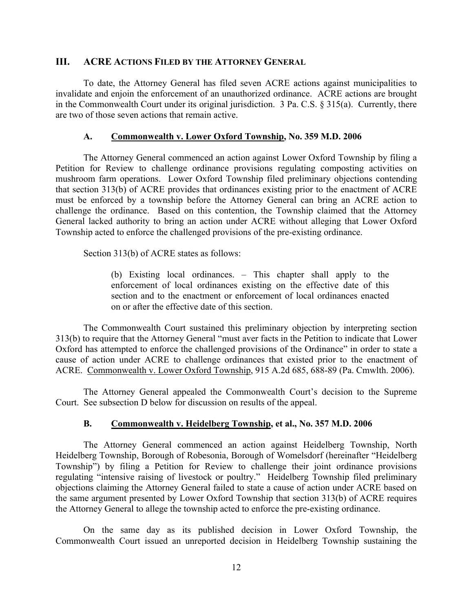#### **III. ACRE ACTIONS FILED BY THE ATTORNEY GENERAL**

To date, the Attorney General has filed seven ACRE actions against municipalities to invalidate and enjoin the enforcement of an unauthorized ordinance. ACRE actions are brought in the Commonwealth Court under its original jurisdiction. 3 Pa. C.S. § 315(a). Currently, there are two of those seven actions that remain active.

#### **A. Commonwealth v. Lower Oxford Township, No. 359 M.D. 2006**

The Attorney General commenced an action against Lower Oxford Township by filing a Petition for Review to challenge ordinance provisions regulating composting activities on mushroom farm operations. Lower Oxford Township filed preliminary objections contending that section 313(b) of ACRE provides that ordinances existing prior to the enactment of ACRE must be enforced by a township before the Attorney General can bring an ACRE action to challenge the ordinance. Based on this contention, the Township claimed that the Attorney General lacked authority to bring an action under ACRE without alleging that Lower Oxford Township acted to enforce the challenged provisions of the pre-existing ordinance.

Section 313(b) of ACRE states as follows:

(b) Existing local ordinances. – This chapter shall apply to the enforcement of local ordinances existing on the effective date of this section and to the enactment or enforcement of local ordinances enacted on or after the effective date of this section.

The Commonwealth Court sustained this preliminary objection by interpreting section 313(b) to require that the Attorney General "must aver facts in the Petition to indicate that Lower Oxford has attempted to enforce the challenged provisions of the Ordinance" in order to state a cause of action under ACRE to challenge ordinances that existed prior to the enactment of ACRE. Commonwealth v. Lower Oxford Township, 915 A.2d 685, 688-89 (Pa. Cmwlth. 2006).

The Attorney General appealed the Commonwealth Court's decision to the Supreme Court. See subsection D below for discussion on results of the appeal.

#### **B. Commonwealth v. Heidelberg Township, et al., No. 357 M.D. 2006**

The Attorney General commenced an action against Heidelberg Township, North Heidelberg Township, Borough of Robesonia, Borough of Womelsdorf (hereinafter "Heidelberg Township") by filing a Petition for Review to challenge their joint ordinance provisions regulating "intensive raising of livestock or poultry." Heidelberg Township filed preliminary objections claiming the Attorney General failed to state a cause of action under ACRE based on the same argument presented by Lower Oxford Township that section 313(b) of ACRE requires the Attorney General to allege the township acted to enforce the pre-existing ordinance.

On the same day as its published decision in Lower Oxford Township, the Commonwealth Court issued an unreported decision in Heidelberg Township sustaining the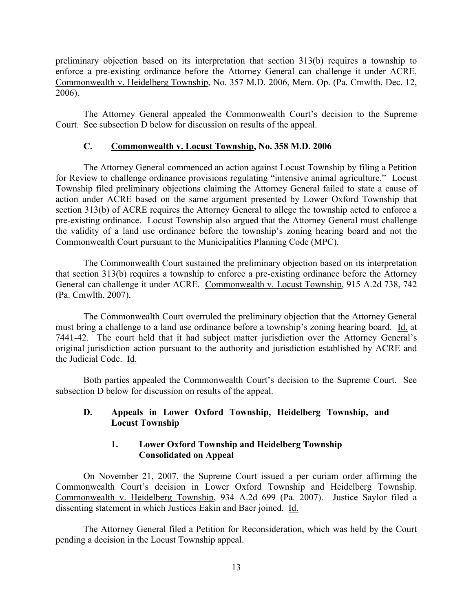preliminary objection based on its interpretation that section 313(b) requires a township to enforce a pre-existing ordinance before the Attorney General can challenge it under ACRE. Commonwealth v. Heidelberg Township, No. 357 M.D. 2006, Mem. Op. (Pa. Cmwlth. Dec. 12, 2006).

The Attorney General appealed the Commonwealth Court's decision to the Supreme Court. See subsection D below for discussion on results of the appeal.

#### **C. Commonwealth v. Locust Township, No. 358 M.D. 2006**

The Attorney General commenced an action against Locust Township by filing a Petition for Review to challenge ordinance provisions regulating "intensive animal agriculture." Locust Township filed preliminary objections claiming the Attorney General failed to state a cause of action under ACRE based on the same argument presented by Lower Oxford Township that section 313(b) of ACRE requires the Attorney General to allege the township acted to enforce a pre-existing ordinance. Locust Township also argued that the Attorney General must challenge the validity of a land use ordinance before the township's zoning hearing board and not the Commonwealth Court pursuant to the Municipalities Planning Code (MPC).

The Commonwealth Court sustained the preliminary objection based on its interpretation that section 313(b) requires a township to enforce a pre-existing ordinance before the Attorney General can challenge it under ACRE. Commonwealth v. Locust Township, 915 A.2d 738, 742 (Pa. Cmwlth. 2007).

The Commonwealth Court overruled the preliminary objection that the Attorney General must bring a challenge to a land use ordinance before a township's zoning hearing board. Id. at 7441-42. The court held that it had subject matter jurisdiction over the Attorney General's original jurisdiction action pursuant to the authority and jurisdiction established by ACRE and the Judicial Code. Id.

Both parties appealed the Commonwealth Court's decision to the Supreme Court. See subsection D below for discussion on results of the appeal.

#### **D. Appeals in Lower Oxford Township, Heidelberg Township, and Locust Township**

## **1. Lower Oxford Township and Heidelberg Township Consolidated on Appeal**

On November 21, 2007, the Supreme Court issued a per curiam order affirming the Commonwealth Court's decision in Lower Oxford Township and Heidelberg Township. Commonwealth v. Heidelberg Township, 934 A.2d 699 (Pa. 2007). Justice Saylor filed a dissenting statement in which Justices Eakin and Baer joined. Id.

The Attorney General filed a Petition for Reconsideration, which was held by the Court pending a decision in the Locust Township appeal.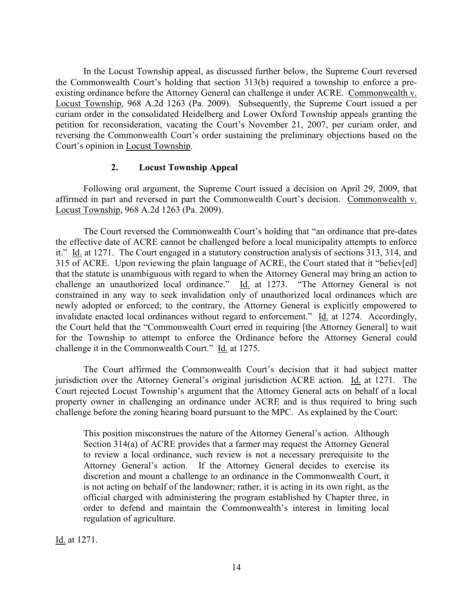In the Locust Township appeal, as discussed further below, the Supreme Court reversed the Commonwealth Court's holding that section 313(b) required a township to enforce a preexisting ordinance before the Attorney General can challenge it under ACRE. Commonwealth v. Locust Township, 968 A.2d 1263 (Pa. 2009). Subsequently, the Supreme Court issued a per curiam order in the consolidated Heidelberg and Lower Oxford Township appeals granting the petition for reconsideration, vacating the Court's November 21, 2007, per curiam order, and reversing the Commonwealth Court's order sustaining the preliminary objections based on the Court's opinion in Locust Township.

#### **2. Locust Township Appeal**

Following oral argument, the Supreme Court issued a decision on April 29, 2009, that affirmed in part and reversed in part the Commonwealth Court's decision. Commonwealth v. Locust Township, 968 A.2d 1263 (Pa. 2009).

The Court reversed the Commonwealth Court's holding that "an ordinance that pre-dates the effective date of ACRE cannot be challenged before a local municipality attempts to enforce it." Id. at 1271. The Court engaged in a statutory construction analysis of sections 313, 314, and 315 of ACRE. Upon reviewing the plain language of ACRE, the Court stated that it "believ[ed] that the statute is unambiguous with regard to when the Attorney General may bring an action to challenge an unauthorized local ordinance." Id. at 1273. "The Attorney General is not constrained in any way to seek invalidation only of unauthorized local ordinances which are newly adopted or enforced; to the contrary, the Attorney General is explicitly empowered to invalidate enacted local ordinances without regard to enforcement." Id. at 1274. Accordingly, the Court held that the "Commonwealth Court erred in requiring [the Attorney General] to wait for the Township to attempt to enforce the Ordinance before the Attorney General could challenge it in the Commonwealth Court." Id. at 1275.

The Court affirmed the Commonwealth Court's decision that it had subject matter jurisdiction over the Attorney General's original jurisdiction ACRE action. Id. at 1271. The Court rejected Locust Township's argument that the Attorney General acts on behalf of a local property owner in challenging an ordinance under ACRE and is thus required to bring such challenge before the zoning hearing board pursuant to the MPC. As explained by the Court:

This position misconstrues the nature of the Attorney General's action. Although Section 314(a) of ACRE provides that a farmer may request the Attorney General to review a local ordinance, such review is not a necessary prerequisite to the Attorney General's action. If the Attorney General decides to exercise its discretion and mount a challenge to an ordinance in the Commonwealth Court, it is not acting on behalf of the landowner; rather, it is acting in its own right, as the official charged with administering the program established by Chapter three, in order to defend and maintain the Commonwealth's interest in limiting local regulation of agriculture.

Id. at 1271.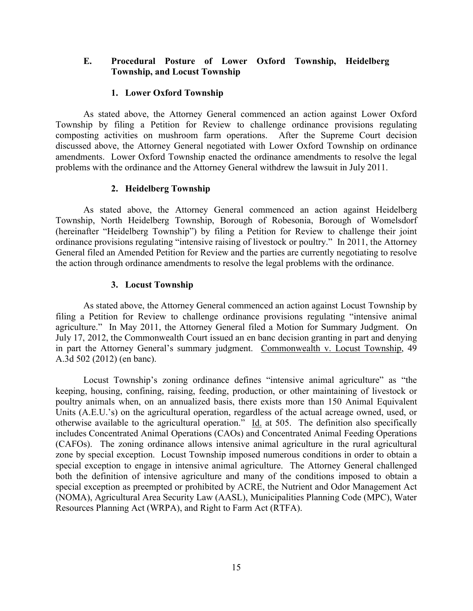#### **E. Procedural Posture of Lower Oxford Township, Heidelberg Township, and Locust Township**

#### **1. Lower Oxford Township**

As stated above, the Attorney General commenced an action against Lower Oxford Township by filing a Petition for Review to challenge ordinance provisions regulating composting activities on mushroom farm operations. After the Supreme Court decision discussed above, the Attorney General negotiated with Lower Oxford Township on ordinance amendments. Lower Oxford Township enacted the ordinance amendments to resolve the legal problems with the ordinance and the Attorney General withdrew the lawsuit in July 2011.

#### **2. Heidelberg Township**

As stated above, the Attorney General commenced an action against Heidelberg Township, North Heidelberg Township, Borough of Robesonia, Borough of Womelsdorf (hereinafter "Heidelberg Township") by filing a Petition for Review to challenge their joint ordinance provisions regulating "intensive raising of livestock or poultry." In 2011, the Attorney General filed an Amended Petition for Review and the parties are currently negotiating to resolve the action through ordinance amendments to resolve the legal problems with the ordinance.

## **3. Locust Township**

As stated above, the Attorney General commenced an action against Locust Township by filing a Petition for Review to challenge ordinance provisions regulating "intensive animal agriculture." In May 2011, the Attorney General filed a Motion for Summary Judgment. On July 17, 2012, the Commonwealth Court issued an en banc decision granting in part and denying in part the Attorney General's summary judgment. Commonwealth v. Locust Township, 49 A.3d 502 (2012) (en banc).

Locust Township's zoning ordinance defines "intensive animal agriculture" as "the keeping, housing, confining, raising, feeding, production, or other maintaining of livestock or poultry animals when, on an annualized basis, there exists more than 150 Animal Equivalent Units (A.E.U.'s) on the agricultural operation, regardless of the actual acreage owned, used, or otherwise available to the agricultural operation." Id. at 505. The definition also specifically includes Concentrated Animal Operations (CAOs) and Concentrated Animal Feeding Operations (CAFOs). The zoning ordinance allows intensive animal agriculture in the rural agricultural zone by special exception. Locust Township imposed numerous conditions in order to obtain a special exception to engage in intensive animal agriculture. The Attorney General challenged both the definition of intensive agriculture and many of the conditions imposed to obtain a special exception as preempted or prohibited by ACRE, the Nutrient and Odor Management Act (NOMA), Agricultural Area Security Law (AASL), Municipalities Planning Code (MPC), Water Resources Planning Act (WRPA), and Right to Farm Act (RTFA).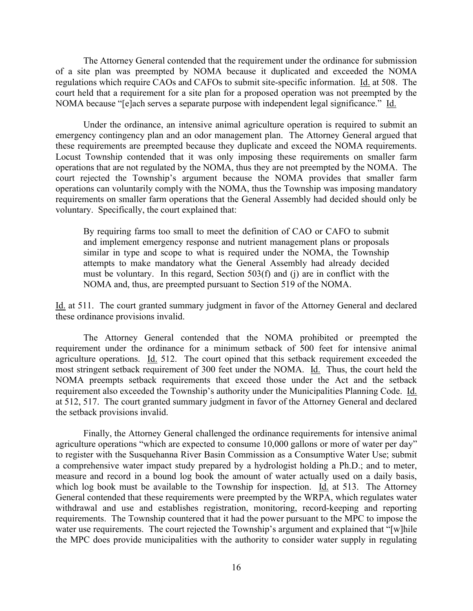The Attorney General contended that the requirement under the ordinance for submission of a site plan was preempted by NOMA because it duplicated and exceeded the NOMA regulations which require CAOs and CAFOs to submit site-specific information. Id. at 508. The court held that a requirement for a site plan for a proposed operation was not preempted by the NOMA because "[e]ach serves a separate purpose with independent legal significance." Id.

Under the ordinance, an intensive animal agriculture operation is required to submit an emergency contingency plan and an odor management plan. The Attorney General argued that these requirements are preempted because they duplicate and exceed the NOMA requirements. Locust Township contended that it was only imposing these requirements on smaller farm operations that are not regulated by the NOMA, thus they are not preempted by the NOMA. The court rejected the Township's argument because the NOMA provides that smaller farm operations can voluntarily comply with the NOMA, thus the Township was imposing mandatory requirements on smaller farm operations that the General Assembly had decided should only be voluntary. Specifically, the court explained that:

By requiring farms too small to meet the definition of CAO or CAFO to submit and implement emergency response and nutrient management plans or proposals similar in type and scope to what is required under the NOMA, the Township attempts to make mandatory what the General Assembly had already decided must be voluntary. In this regard, Section 503(f) and (j) are in conflict with the NOMA and, thus, are preempted pursuant to Section 519 of the NOMA.

Id. at 511. The court granted summary judgment in favor of the Attorney General and declared these ordinance provisions invalid.

The Attorney General contended that the NOMA prohibited or preempted the requirement under the ordinance for a minimum setback of 500 feet for intensive animal agriculture operations. Id. 512. The court opined that this setback requirement exceeded the most stringent setback requirement of 300 feet under the NOMA. Id. Thus, the court held the NOMA preempts setback requirements that exceed those under the Act and the setback requirement also exceeded the Township's authority under the Municipalities Planning Code. Id. at 512, 517. The court granted summary judgment in favor of the Attorney General and declared the setback provisions invalid.

Finally, the Attorney General challenged the ordinance requirements for intensive animal agriculture operations "which are expected to consume 10,000 gallons or more of water per day" to register with the Susquehanna River Basin Commission as a Consumptive Water Use; submit a comprehensive water impact study prepared by a hydrologist holding a Ph.D.; and to meter, measure and record in a bound log book the amount of water actually used on a daily basis, which log book must be available to the Township for inspection. Id. at 513. The Attorney General contended that these requirements were preempted by the WRPA, which regulates water withdrawal and use and establishes registration, monitoring, record-keeping and reporting requirements. The Township countered that it had the power pursuant to the MPC to impose the water use requirements. The court rejected the Township's argument and explained that "[w]hile the MPC does provide municipalities with the authority to consider water supply in regulating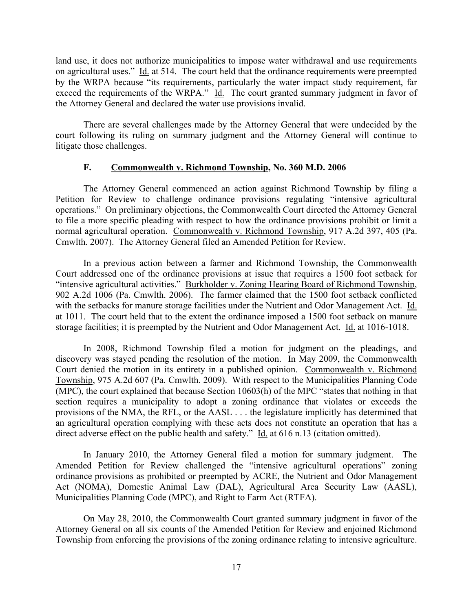land use, it does not authorize municipalities to impose water withdrawal and use requirements on agricultural uses." Id. at 514. The court held that the ordinance requirements were preempted by the WRPA because "its requirements, particularly the water impact study requirement, far exceed the requirements of the WRPA." Id. The court granted summary judgment in favor of the Attorney General and declared the water use provisions invalid.

There are several challenges made by the Attorney General that were undecided by the court following its ruling on summary judgment and the Attorney General will continue to litigate those challenges.

#### **F. Commonwealth v. Richmond Township, No. 360 M.D. 2006**

The Attorney General commenced an action against Richmond Township by filing a Petition for Review to challenge ordinance provisions regulating "intensive agricultural operations." On preliminary objections, the Commonwealth Court directed the Attorney General to file a more specific pleading with respect to how the ordinance provisions prohibit or limit a normal agricultural operation. Commonwealth v. Richmond Township, 917 A.2d 397, 405 (Pa. Cmwlth. 2007). The Attorney General filed an Amended Petition for Review.

In a previous action between a farmer and Richmond Township, the Commonwealth Court addressed one of the ordinance provisions at issue that requires a 1500 foot setback for "intensive agricultural activities." Burkholder v. Zoning Hearing Board of Richmond Township, 902 A.2d 1006 (Pa. Cmwlth. 2006). The farmer claimed that the 1500 foot setback conflicted with the setbacks for manure storage facilities under the Nutrient and Odor Management Act. Id. at 1011. The court held that to the extent the ordinance imposed a 1500 foot setback on manure storage facilities; it is preempted by the Nutrient and Odor Management Act. Id. at 1016-1018.

In 2008, Richmond Township filed a motion for judgment on the pleadings, and discovery was stayed pending the resolution of the motion. In May 2009, the Commonwealth Court denied the motion in its entirety in a published opinion. Commonwealth v. Richmond Township, 975 A.2d 607 (Pa. Cmwlth. 2009). With respect to the Municipalities Planning Code (MPC), the court explained that because Section 10603(h) of the MPC "states that nothing in that section requires a municipality to adopt a zoning ordinance that violates or exceeds the provisions of the NMA, the RFL, or the AASL . . . the legislature implicitly has determined that an agricultural operation complying with these acts does not constitute an operation that has a direct adverse effect on the public health and safety." Id. at 616 n.13 (citation omitted).

In January 2010, the Attorney General filed a motion for summary judgment. The Amended Petition for Review challenged the "intensive agricultural operations" zoning ordinance provisions as prohibited or preempted by ACRE, the Nutrient and Odor Management Act (NOMA), Domestic Animal Law (DAL), Agricultural Area Security Law (AASL), Municipalities Planning Code (MPC), and Right to Farm Act (RTFA).

On May 28, 2010, the Commonwealth Court granted summary judgment in favor of the Attorney General on all six counts of the Amended Petition for Review and enjoined Richmond Township from enforcing the provisions of the zoning ordinance relating to intensive agriculture.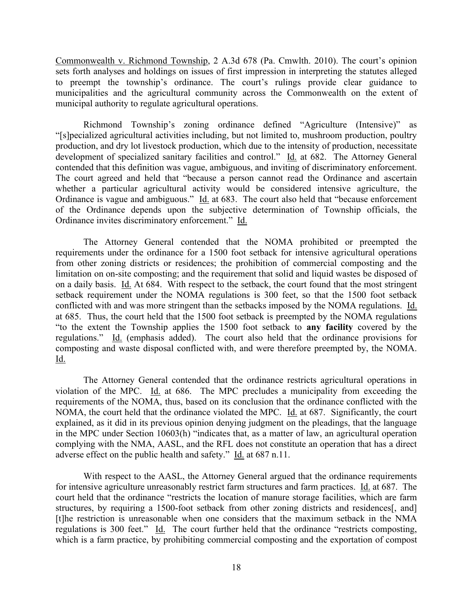Commonwealth v. Richmond Township, 2 A.3d 678 (Pa. Cmwlth. 2010). The court's opinion sets forth analyses and holdings on issues of first impression in interpreting the statutes alleged to preempt the township's ordinance. The court's rulings provide clear guidance to municipalities and the agricultural community across the Commonwealth on the extent of municipal authority to regulate agricultural operations.

Richmond Township's zoning ordinance defined "Agriculture (Intensive)" as "[s]pecialized agricultural activities including, but not limited to, mushroom production, poultry production, and dry lot livestock production, which due to the intensity of production, necessitate development of specialized sanitary facilities and control." Id. at 682. The Attorney General contended that this definition was vague, ambiguous, and inviting of discriminatory enforcement. The court agreed and held that "because a person cannot read the Ordinance and ascertain whether a particular agricultural activity would be considered intensive agriculture, the Ordinance is vague and ambiguous." Id. at 683. The court also held that "because enforcement of the Ordinance depends upon the subjective determination of Township officials, the Ordinance invites discriminatory enforcement." Id.

The Attorney General contended that the NOMA prohibited or preempted the requirements under the ordinance for a 1500 foot setback for intensive agricultural operations from other zoning districts or residences; the prohibition of commercial composting and the limitation on on-site composting; and the requirement that solid and liquid wastes be disposed of on a daily basis. Id. At 684. With respect to the setback, the court found that the most stringent setback requirement under the NOMA regulations is 300 feet, so that the 1500 foot setback conflicted with and was more stringent than the setbacks imposed by the NOMA regulations. Id. at 685. Thus, the court held that the 1500 foot setback is preempted by the NOMA regulations "to the extent the Township applies the 1500 foot setback to **any facility** covered by the regulations." Id. (emphasis added). The court also held that the ordinance provisions for composting and waste disposal conflicted with, and were therefore preempted by, the NOMA. Id.

The Attorney General contended that the ordinance restricts agricultural operations in violation of the MPC. Id. at 686. The MPC precludes a municipality from exceeding the requirements of the NOMA, thus, based on its conclusion that the ordinance conflicted with the NOMA, the court held that the ordinance violated the MPC. Id. at 687. Significantly, the court explained, as it did in its previous opinion denying judgment on the pleadings, that the language in the MPC under Section 10603(h) "indicates that, as a matter of law, an agricultural operation complying with the NMA, AASL, and the RFL does not constitute an operation that has a direct adverse effect on the public health and safety." Id. at 687 n.11.

With respect to the AASL, the Attorney General argued that the ordinance requirements for intensive agriculture unreasonably restrict farm structures and farm practices. Id. at 687. The court held that the ordinance "restricts the location of manure storage facilities, which are farm structures, by requiring a 1500-foot setback from other zoning districts and residences[, and] [t]he restriction is unreasonable when one considers that the maximum setback in the NMA regulations is 300 feet." Id. The court further held that the ordinance "restricts composting, which is a farm practice, by prohibiting commercial composting and the exportation of compost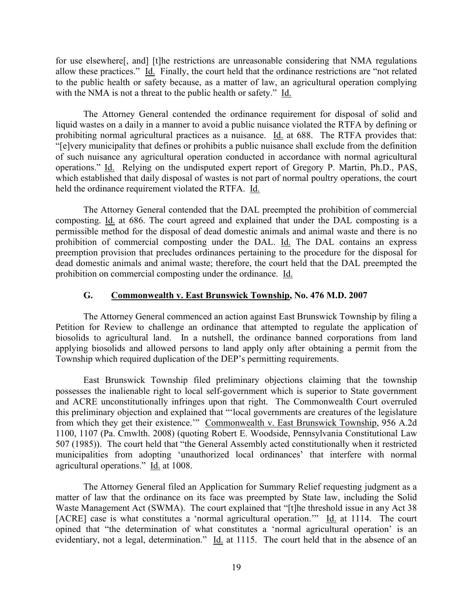for use elsewhere[, and] [t]he restrictions are unreasonable considering that NMA regulations allow these practices." Id. Finally, the court held that the ordinance restrictions are "not related to the public health or safety because, as a matter of law, an agricultural operation complying with the NMA is not a threat to the public health or safety." Id.

The Attorney General contended the ordinance requirement for disposal of solid and liquid wastes on a daily in a manner to avoid a public nuisance violated the RTFA by defining or prohibiting normal agricultural practices as a nuisance. Id. at 688. The RTFA provides that: "[e]very municipality that defines or prohibits a public nuisance shall exclude from the definition of such nuisance any agricultural operation conducted in accordance with normal agricultural operations." Id. Relying on the undisputed expert report of Gregory P. Martin, Ph.D., PAS, which established that daily disposal of wastes is not part of normal poultry operations, the court held the ordinance requirement violated the RTFA. Id.

The Attorney General contended that the DAL preempted the prohibition of commercial composting. Id. at 686. The court agreed and explained that under the DAL composting is a permissible method for the disposal of dead domestic animals and animal waste and there is no prohibition of commercial composting under the DAL. Id. The DAL contains an express preemption provision that precludes ordinances pertaining to the procedure for the disposal for dead domestic animals and animal waste; therefore, the court held that the DAL preempted the prohibition on commercial composting under the ordinance. Id.

#### **G. Commonwealth v. East Brunswick Township, No. 476 M.D. 2007**

The Attorney General commenced an action against East Brunswick Township by filing a Petition for Review to challenge an ordinance that attempted to regulate the application of biosolids to agricultural land. In a nutshell, the ordinance banned corporations from land applying biosolids and allowed persons to land apply only after obtaining a permit from the Township which required duplication of the DEP's permitting requirements.

East Brunswick Township filed preliminary objections claiming that the township possesses the inalienable right to local self-government which is superior to State government and ACRE unconstitutionally infringes upon that right. The Commonwealth Court overruled this preliminary objection and explained that "'local governments are creatures of the legislature from which they get their existence.'" Commonwealth v. East Brunswick Township, 956 A.2d 1100, 1107 (Pa. Cmwlth. 2008) (quoting Robert E. Woodside, Pennsylvania Constitutional Law 507 (1985)). The court held that "the General Assembly acted constitutionally when it restricted municipalities from adopting 'unauthorized local ordinances' that interfere with normal agricultural operations." Id. at 1008.

The Attorney General filed an Application for Summary Relief requesting judgment as a matter of law that the ordinance on its face was preempted by State law, including the Solid Waste Management Act (SWMA). The court explained that "[t]he threshold issue in any Act 38 [ACRE] case is what constitutes a 'normal agricultural operation.'" Id. at 1114. The court opined that "the determination of what constitutes a 'normal agricultural operation' is an evidentiary, not a legal, determination." Id. at 1115. The court held that in the absence of an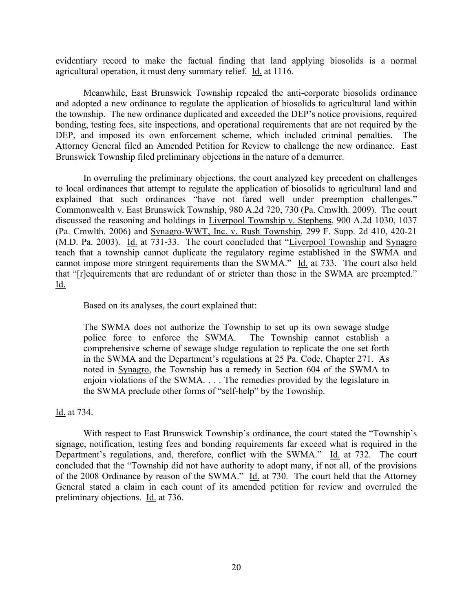evidentiary record to make the factual finding that land applying biosolids is a normal agricultural operation, it must deny summary relief. Id. at 1116.

Meanwhile, East Brunswick Township repealed the anti-corporate biosolids ordinance and adopted a new ordinance to regulate the application of biosolids to agricultural land within the township. The new ordinance duplicated and exceeded the DEP's notice provisions, required bonding, testing fees, site inspections, and operational requirements that are not required by the DEP, and imposed its own enforcement scheme, which included criminal penalties. The Attorney General filed an Amended Petition for Review to challenge the new ordinance. East Brunswick Township filed preliminary objections in the nature of a demurrer.

In overruling the preliminary objections, the court analyzed key precedent on challenges to local ordinances that attempt to regulate the application of biosolids to agricultural land and explained that such ordinances "have not fared well under preemption challenges." Commonwealth v. East Brunswick Township, 980 A.2d 720, 730 (Pa. Cmwlth. 2009). The court discussed the reasoning and holdings in Liverpool Township v. Stephens, 900 A.2d 1030, 1037 (Pa. Cmwlth. 2006) and Synagro-WWT, Inc. v. Rush Township, 299 F. Supp. 2d 410, 420-21 (M.D. Pa. 2003). Id. at 731-33. The court concluded that "Liverpool Township and Synagro teach that a township cannot duplicate the regulatory regime established in the SWMA and cannot impose more stringent requirements than the SWMA." Id. at 733. The court also held that "[r]equirements that are redundant of or stricter than those in the SWMA are preempted." Id.

Based on its analyses, the court explained that:

The SWMA does not authorize the Township to set up its own sewage sludge police force to enforce the SWMA. The Township cannot establish a comprehensive scheme of sewage sludge regulation to replicate the one set forth in the SWMA and the Department's regulations at 25 Pa. Code, Chapter 271. As noted in Synagro, the Township has a remedy in Section 604 of the SWMA to enjoin violations of the SWMA. . . . The remedies provided by the legislature in the SWMA preclude other forms of "self-help" by the Township.

Id. at 734.

With respect to East Brunswick Township's ordinance, the court stated the "Township's signage, notification, testing fees and bonding requirements far exceed what is required in the Department's regulations, and, therefore, conflict with the SWMA." Id. at 732. The court concluded that the "Township did not have authority to adopt many, if not all, of the provisions of the 2008 Ordinance by reason of the SWMA." Id. at 730. The court held that the Attorney General stated a claim in each count of its amended petition for review and overruled the preliminary objections. Id. at 736.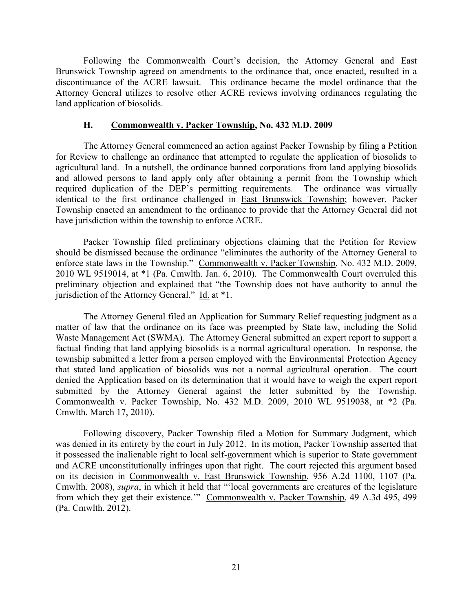Following the Commonwealth Court's decision, the Attorney General and East Brunswick Township agreed on amendments to the ordinance that, once enacted, resulted in a discontinuance of the ACRE lawsuit. This ordinance became the model ordinance that the Attorney General utilizes to resolve other ACRE reviews involving ordinances regulating the land application of biosolids.

#### **H. Commonwealth v. Packer Township, No. 432 M.D. 2009**

The Attorney General commenced an action against Packer Township by filing a Petition for Review to challenge an ordinance that attempted to regulate the application of biosolids to agricultural land. In a nutshell, the ordinance banned corporations from land applying biosolids and allowed persons to land apply only after obtaining a permit from the Township which required duplication of the DEP's permitting requirements. The ordinance was virtually identical to the first ordinance challenged in East Brunswick Township; however, Packer Township enacted an amendment to the ordinance to provide that the Attorney General did not have jurisdiction within the township to enforce ACRE.

Packer Township filed preliminary objections claiming that the Petition for Review should be dismissed because the ordinance "eliminates the authority of the Attorney General to enforce state laws in the Township." Commonwealth v. Packer Township, No. 432 M.D. 2009, 2010 WL 9519014, at \*1 (Pa. Cmwlth. Jan. 6, 2010). The Commonwealth Court overruled this preliminary objection and explained that "the Township does not have authority to annul the jurisdiction of the Attorney General." Id. at \*1.

The Attorney General filed an Application for Summary Relief requesting judgment as a matter of law that the ordinance on its face was preempted by State law, including the Solid Waste Management Act (SWMA). The Attorney General submitted an expert report to support a factual finding that land applying biosolids is a normal agricultural operation. In response, the township submitted a letter from a person employed with the Environmental Protection Agency that stated land application of biosolids was not a normal agricultural operation. The court denied the Application based on its determination that it would have to weigh the expert report submitted by the Attorney General against the letter submitted by the Township. Commonwealth v. Packer Township, No. 432 M.D. 2009, 2010 WL 9519038, at \*2 (Pa. Cmwlth. March 17, 2010).

Following discovery, Packer Township filed a Motion for Summary Judgment, which was denied in its entirety by the court in July 2012. In its motion, Packer Township asserted that it possessed the inalienable right to local self-government which is superior to State government and ACRE unconstitutionally infringes upon that right. The court rejected this argument based on its decision in Commonwealth v. East Brunswick Township, 956 A.2d 1100, 1107 (Pa. Cmwlth. 2008), *supra*, in which it held that "'local governments are creatures of the legislature from which they get their existence.'" Commonwealth v. Packer Township, 49 A.3d 495, 499 (Pa. Cmwlth. 2012).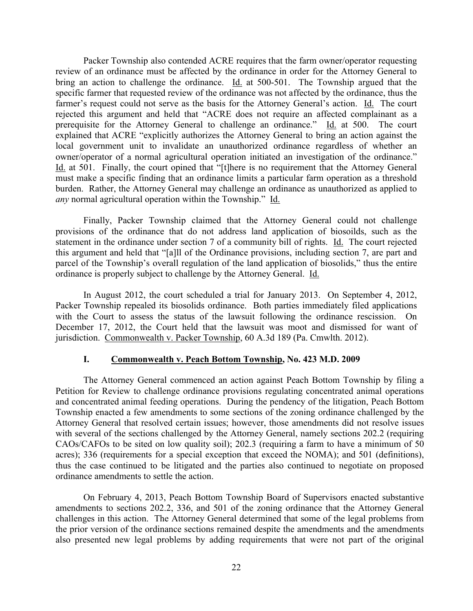Packer Township also contended ACRE requires that the farm owner/operator requesting review of an ordinance must be affected by the ordinance in order for the Attorney General to bring an action to challenge the ordinance. Id. at 500-501. The Township argued that the specific farmer that requested review of the ordinance was not affected by the ordinance, thus the farmer's request could not serve as the basis for the Attorney General's action. Id. The court rejected this argument and held that "ACRE does not require an affected complainant as a prerequisite for the Attorney General to challenge an ordinance." Id. at 500. The court explained that ACRE "explicitly authorizes the Attorney General to bring an action against the local government unit to invalidate an unauthorized ordinance regardless of whether an owner/operator of a normal agricultural operation initiated an investigation of the ordinance." Id. at 501. Finally, the court opined that "[t]here is no requirement that the Attorney General must make a specific finding that an ordinance limits a particular farm operation as a threshold burden. Rather, the Attorney General may challenge an ordinance as unauthorized as applied to *any* normal agricultural operation within the Township." Id.

Finally, Packer Township claimed that the Attorney General could not challenge provisions of the ordinance that do not address land application of biosoilds, such as the statement in the ordinance under section 7 of a community bill of rights. Id. The court rejected this argument and held that "[a]ll of the Ordinance provisions, including section 7, are part and parcel of the Township's overall regulation of the land application of biosolids," thus the entire ordinance is properly subject to challenge by the Attorney General. Id.

In August 2012, the court scheduled a trial for January 2013. On September 4, 2012, Packer Township repealed its biosolids ordinance. Both parties immediately filed applications with the Court to assess the status of the lawsuit following the ordinance rescission. On December 17, 2012, the Court held that the lawsuit was moot and dismissed for want of jurisdiction. Commonwealth v. Packer Township, 60 A.3d 189 (Pa. Cmwlth. 2012).

#### **I. Commonwealth v. Peach Bottom Township, No. 423 M.D. 2009**

The Attorney General commenced an action against Peach Bottom Township by filing a Petition for Review to challenge ordinance provisions regulating concentrated animal operations and concentrated animal feeding operations. During the pendency of the litigation, Peach Bottom Township enacted a few amendments to some sections of the zoning ordinance challenged by the Attorney General that resolved certain issues; however, those amendments did not resolve issues with several of the sections challenged by the Attorney General, namely sections 202.2 (requiring CAOs/CAFOs to be sited on low quality soil); 202.3 (requiring a farm to have a minimum of 50 acres); 336 (requirements for a special exception that exceed the NOMA); and 501 (definitions), thus the case continued to be litigated and the parties also continued to negotiate on proposed ordinance amendments to settle the action.

On February 4, 2013, Peach Bottom Township Board of Supervisors enacted substantive amendments to sections 202.2, 336, and 501 of the zoning ordinance that the Attorney General challenges in this action. The Attorney General determined that some of the legal problems from the prior version of the ordinance sections remained despite the amendments and the amendments also presented new legal problems by adding requirements that were not part of the original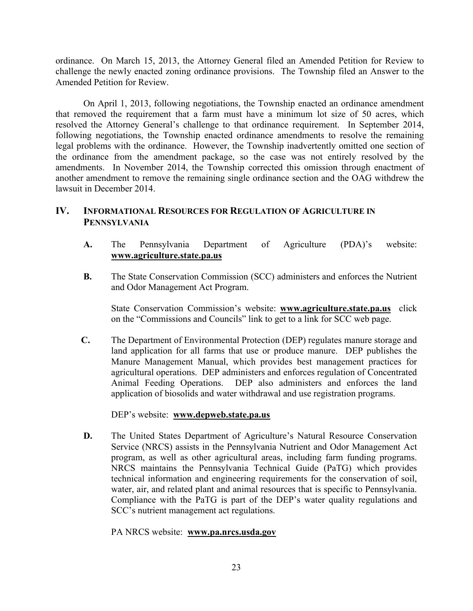ordinance. On March 15, 2013, the Attorney General filed an Amended Petition for Review to challenge the newly enacted zoning ordinance provisions. The Township filed an Answer to the Amended Petition for Review.

On April 1, 2013, following negotiations, the Township enacted an ordinance amendment that removed the requirement that a farm must have a minimum lot size of 50 acres, which resolved the Attorney General's challenge to that ordinance requirement. In September 2014, following negotiations, the Township enacted ordinance amendments to resolve the remaining legal problems with the ordinance. However, the Township inadvertently omitted one section of the ordinance from the amendment package, so the case was not entirely resolved by the amendments. In November 2014, the Township corrected this omission through enactment of another amendment to remove the remaining single ordinance section and the OAG withdrew the lawsuit in December 2014.

## **IV. INFORMATIONAL RESOURCES FOR REGULATION OF AGRICULTURE IN PENNSYLVANIA**

- **A.** The Pennsylvania Department of Agriculture (PDA)'s website: **www.agriculture.state.pa.us**
- **B.** The State Conservation Commission (SCC) administers and enforces the Nutrient and Odor Management Act Program.

State Conservation Commission's website: **www.agriculture.state.pa.us** click on the "Commissions and Councils" link to get to a link for SCC web page.

**C.** The Department of Environmental Protection (DEP) regulates manure storage and land application for all farms that use or produce manure. DEP publishes the Manure Management Manual, which provides best management practices for agricultural operations. DEP administers and enforces regulation of Concentrated Animal Feeding Operations. DEP also administers and enforces the land application of biosolids and water withdrawal and use registration programs.

#### DEP's website: **www.depweb.state.pa.us**

**D.** The United States Department of Agriculture's Natural Resource Conservation Service (NRCS) assists in the Pennsylvania Nutrient and Odor Management Act program, as well as other agricultural areas, including farm funding programs. NRCS maintains the Pennsylvania Technical Guide (PaTG) which provides technical information and engineering requirements for the conservation of soil, water, air, and related plant and animal resources that is specific to Pennsylvania. Compliance with the PaTG is part of the DEP's water quality regulations and SCC's nutrient management act regulations.

PA NRCS website: **www.pa.nrcs.usda.gov**